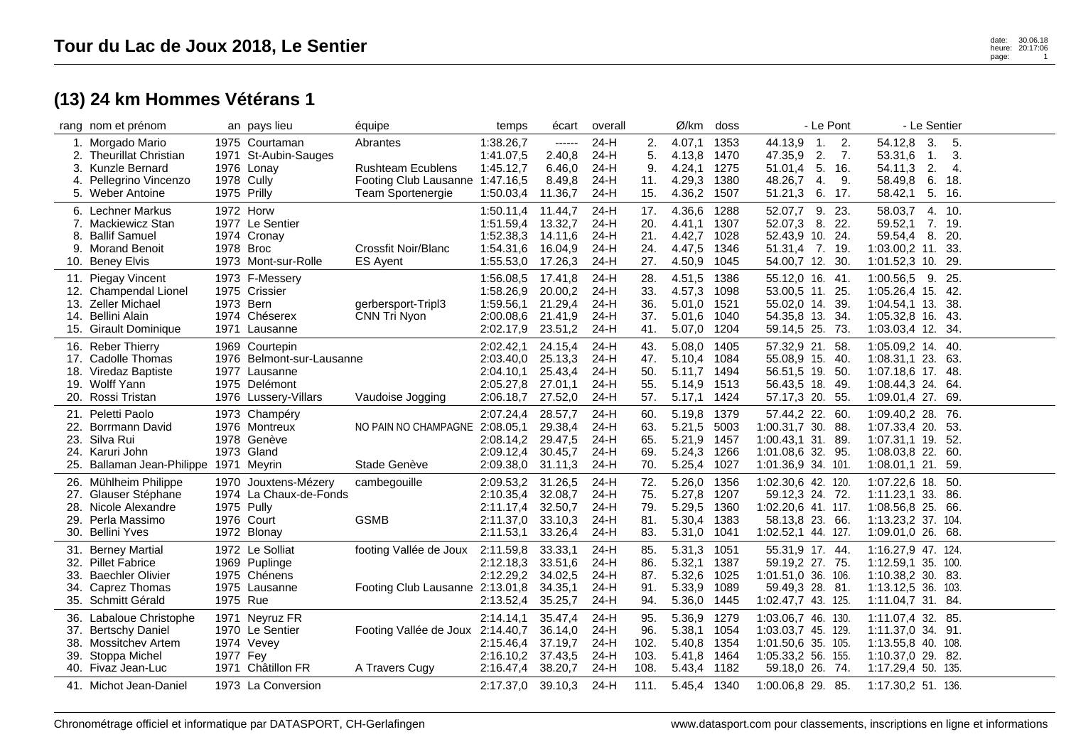## **(13) 24 km Hommes Vétérans 1**

|                          | rang nom et prénom                                                                                                  |             | an pays lieu                                                                                          | équipe                                                                                       | temps                                                         | écart                                               | overall                                  |                                    | Ø/km                                                | doss                                 | - Le Pont                                                                                                                    | - Le Sentier                                                                                                                  |  |
|--------------------------|---------------------------------------------------------------------------------------------------------------------|-------------|-------------------------------------------------------------------------------------------------------|----------------------------------------------------------------------------------------------|---------------------------------------------------------------|-----------------------------------------------------|------------------------------------------|------------------------------------|-----------------------------------------------------|--------------------------------------|------------------------------------------------------------------------------------------------------------------------------|-------------------------------------------------------------------------------------------------------------------------------|--|
| 3.<br>4.                 | 1. Morgado Mario<br><b>Theurillat Christian</b><br><b>Kunzle Bernard</b><br>Pellegrino Vincenzo<br>5. Weber Antoine | 1975 Prilly | 1975 Courtaman<br>1971 St-Aubin-Sauges<br>1976 Lonay<br>1978 Cully                                    | Abrantes<br><b>Rushteam Ecublens</b><br>Footing Club Lausanne 1:47.16,5<br>Team Sportenergie | 1:38.26,7<br>1:41.07,5<br>1:45.12,7<br>1:50.03,4              | $-----$<br>2.40,8<br>6.46,0<br>8.49,8<br>11.36,7    | $24-H$<br>24-H<br>24-H<br>24-H<br>24-H   | 2.<br>5.<br>9.<br>11.<br>15.       | 4.07,1<br>4.13,8<br>4.24,1<br>4.29,3<br>4.36,2      | 1353<br>1470<br>1275<br>1380<br>1507 | 44.13,9<br>$\overline{1}$ .<br>2.<br>47.35,9<br>2.<br>7.<br>5. 16.<br>51.01,4<br>48.26,7<br>4.<br>9.<br>51.21,3<br>6.<br>17. | 54.12,8<br>3.<br>5.<br>3.<br>53.31,6<br>$\mathbf{1}$ .<br>2.<br>54.11,3<br>4.<br>6.<br>58.49,8<br>18.<br>5.<br>16.<br>58.42,1 |  |
| 8.<br>9.                 | 6. Lechner Markus<br>7. Mackiewicz Stan<br><b>Ballif Samuel</b><br><b>Morand Benoit</b><br>10. Beney Elvis          | 1978 Broc   | 1972 Horw<br>1977 Le Sentier<br>1974 Cronay<br>1973 Mont-sur-Rolle                                    | Crossfit Noir/Blanc<br><b>ES Ayent</b>                                                       | 1:50.11,4<br>1:51.59,4<br>1:52.38,3<br>1:54.31,6<br>1:55.53,0 | 11.44,7<br>13.32,7<br>14.11,6<br>16.04,9<br>17.26,3 | 24-H<br>24-H<br>24-H<br>24-H<br>24-H     | 17.<br>20.<br>21.<br>24.<br>27.    | 4.36,6<br>4.41,1<br>4.42,7<br>4.47,5<br>4.50,9      | 1288<br>1307<br>1028<br>1346<br>1045 | 9.<br>52.07,7<br>23.<br>52.07,3<br>8. 22.<br>52.43,9 10. 24.<br>51.31,4<br>7. 19.<br>54.00,7 12. 30.                         | 58.03,7<br>4. 10.<br>59.52,1<br>7. 19.<br>59.54,4<br>20.<br>8.<br>$1:03.00,2$ 11.<br>33.<br>1:01.52,3 10. 29.                 |  |
| 11.<br>13.<br>14.        | Piegay Vincent<br>12. Champendal Lionel<br><b>Zeller Michael</b><br>Bellini Alain<br>15. Girault Dominique          | 1973 Bern   | 1973 F-Messery<br>1975 Crissier<br>1974 Chéserex<br>1971 Lausanne                                     | gerbersport-Tripl3<br>CNN Tri Nyon                                                           | 1:56.08,5<br>1:58.26,9<br>1:59.56,1<br>2:00.08,6<br>2:02.17,9 | 17.41,8<br>20.00,2<br>21.29,4<br>21.41,9<br>23.51,2 | 24-H<br>24-H<br>24-H<br>24-H<br>24-H     | 28.<br>33.<br>36.<br>37.<br>41.    | 4.51,5<br>4.57,3<br>5.01,0<br>5.01,6<br>5.07,0      | 1386<br>1098<br>1521<br>1040<br>1204 | 55.12,0 16. 41.<br>53.00,5 11. 25.<br>55.02,0 14. 39.<br>54.35,8 13. 34.<br>59.14,5 25. 73.                                  | 25.<br>1:00.56,5<br>9.<br>$1:05.26,4$ 15.<br>-42.<br>$1:04.54,1$ 13.<br>38.<br>$1:05.32,8$ 16.<br>-43.<br>1:03.03,4 12. 34.   |  |
| 20.                      | 16. Reber Thierry<br>17. Cadolle Thomas<br>18. Viredaz Baptiste<br>19. Wolff Yann<br>Rossi Tristan                  |             | 1969 Courtepin<br>1976 Belmont-sur-Lausanne<br>1977 Lausanne<br>1975 Delémont<br>1976 Lussery-Villars | Vaudoise Jogging                                                                             | 2:02.42,1<br>2:03.40,0<br>2:04.10,1<br>2:05.27,8<br>2:06.18,7 | 24.15,4<br>25.13,3<br>25.43.4<br>27.01,1<br>27.52,0 | $24-H$<br>24-H<br>$24-H$<br>24-H<br>24-H | 43.<br>47.<br>50.<br>55.<br>57.    | 5.08,0<br>5.10,4<br>5.11.7<br>5.14,9<br>5.17,1      | 1405<br>1084<br>1494<br>1513<br>1424 | 57.32,9 21. 58.<br>55.08,9 15. 40.<br>56.51,5 19. 50.<br>56.43,5 18. 49.<br>57.17,3 20. 55.                                  | 1:05.09,2 14. 40.<br>$1:08.31,1$ 23. 63.<br>1:07.18,6 17. 48.<br>$1:08.44,3$ 24. 64.<br>1:09.01,4 27. 69.                     |  |
| 22.<br>25.               | 21. Peletti Paolo<br>Borrmann David<br>23. Silva Rui<br>24. Karuri John<br>Ballaman Jean-Philippe 1971 Meyrin       |             | 1973 Champéry<br>1976 Montreux<br>1978 Genève<br>1973 Gland                                           | NO PAIN NO CHAMPAGNE 2:08.05.1<br>Stade Genève                                               | 2:07.24,4<br>2:08.14,2<br>2:09.12,4<br>2:09.38,0              | 28.57,7<br>29.38,4<br>29.47,5<br>30.45,7<br>31.11,3 | $24-H$<br>24-H<br>24-H<br>24-H<br>24-H   | 60.<br>63.<br>65.<br>69.<br>70.    | 5.19,8<br>5.21,5<br>5.21,9<br>5.24,3<br>5.25,4      | 1379<br>5003<br>1457<br>1266<br>1027 | 57.44,2 22. 60.<br>1:00.31,7 30. 88.<br>1:00.43,1 31. 89.<br>1:01.08,6 32. 95.<br>1:01.36,9 34. 101.                         | 1:09.40,2 28.<br>76.<br>1:07.33,4 20.<br>53.<br>1:07.31,1 19. 52.<br>1:08.03,8 22. 60.<br>$1:08.01,1$ 21.<br>59.              |  |
| 26.<br>28.<br>29.        | Mühlheim Philippe<br>27. Glauser Stéphane<br>Nicole Alexandre<br>Perla Massimo<br>30. Bellini Yves                  |             | 1970 Jouxtens-Mézery<br>1974 La Chaux-de-Fonds<br>1975 Pully<br>1976 Court<br>1972 Blonay             | cambegouille<br><b>GSMB</b>                                                                  | 2:09.53,2<br>2:10.35,4<br>2:11.17,4<br>2:11.37,0<br>2:11.53,1 | 31.26,5<br>32.08,7<br>32.50,7<br>33.10,3<br>33.26,4 | 24-H<br>24-H<br>24-H<br>$24-H$<br>24-H   | 72.<br>75.<br>79.<br>81.<br>83.    | 5.26,0<br>5.27,8<br>5.29,5<br>5.30,4<br>5.31,0      | 1356<br>1207<br>1360<br>1383<br>1041 | 1:02.30,6 42. 120.<br>59.12,3 24. 72.<br>1:02.20,6 41. 117.<br>58.13,8 23. 66.<br>1:02.52,1 44. 127.                         | 1:07.22,6 18.<br>50.<br>1:11.23,1 33. 86.<br>1:08.56,8 25.<br>66.<br>1:13.23,2 37. 104.<br>1:09.01,0 26. 68.                  |  |
| 31.<br>32.<br>33.<br>34. | <b>Berney Martial</b><br><b>Pillet Fabrice</b><br><b>Baechler Olivier</b><br>Caprez Thomas<br>35. Schmitt Gérald    | 1975 Rue    | 1972 Le Solliat<br>1969 Puplinge<br>1975 Chénens<br>1975 Lausanne                                     | footing Vallée de Joux<br>Footing Club Lausanne 2:13.01,8                                    | 2:11.59,8<br>2:12.18,3<br>2:12.29,2<br>2:13.52,4              | 33.33,1<br>33.51,6<br>34.02,5<br>34.35,1<br>35.25,7 | $24-H$<br>24-H<br>24-H<br>24-H<br>24-H   | 85.<br>86.<br>87.<br>91.<br>94.    | 5.31,3<br>5.32,1<br>5.32,6<br>5.33,9<br>5.36,0      | 1051<br>1387<br>1025<br>1089<br>1445 | 55.31,9 17. 44.<br>59.19,2 27. 75.<br>1:01.51,0 36. 106.<br>59.49,3 28. 81.<br>1:02.47,7 43. 125.                            | 1:16.27,9 47. 124.<br>1:12.59,1 35. 100.<br>1:10.38,2 30. 83.<br>1:13.12,5 36. 103.<br>1:11.04,7 31. 84.                      |  |
| 37.<br>38.<br>39.<br>40. | 36. Labaloue Christophe<br><b>Bertschy Daniel</b><br>Mossitchev Artem<br>Stoppa Michel<br>Fivaz Jean-Luc            | 1977 Fey    | 1971 Neyruz FR<br>1970 Le Sentier<br>1974 Vevey<br>1971 Châtillon FR                                  | Footing Vallée de Joux<br>A Travers Cugy                                                     | 2:14.14,1<br>2:14.40,7<br>2:15.46,4<br>2:16.10,2<br>2:16.47,4 | 35.47,4<br>36.14,0<br>37.19,7<br>37.43,5<br>38.20,7 | 24-H<br>$24-H$<br>24-H<br>24-H<br>24-H   | 95.<br>96.<br>102.<br>103.<br>108. | 5.36,9<br>5.38,1<br>5.40,8<br>5.41,8<br>5.43,4 1182 | 1279<br>1054<br>1354<br>1464         | 1:03.06,7 46. 130.<br>1:03.03,7 45. 129.<br>1:01.50,6 35. 105.<br>1:05.33,2 56. 155.<br>59.18,0 26. 74.                      | 1:11.07,4 32. 85.<br>1:11.37,0 34. 91.<br>1:13.55,8 40. 108.<br>1:10.37,0 29. 82.<br>1:17.29,4 50. 135.                       |  |
|                          | 41. Michot Jean-Daniel                                                                                              |             | 1973 La Conversion                                                                                    |                                                                                              | 2:17.37,0                                                     | 39.10,3                                             | 24-H                                     | 111.                               | 5.45,4 1340                                         |                                      | 1:00.06,8 29. 85.                                                                                                            | 1:17.30,2 51. 136.                                                                                                            |  |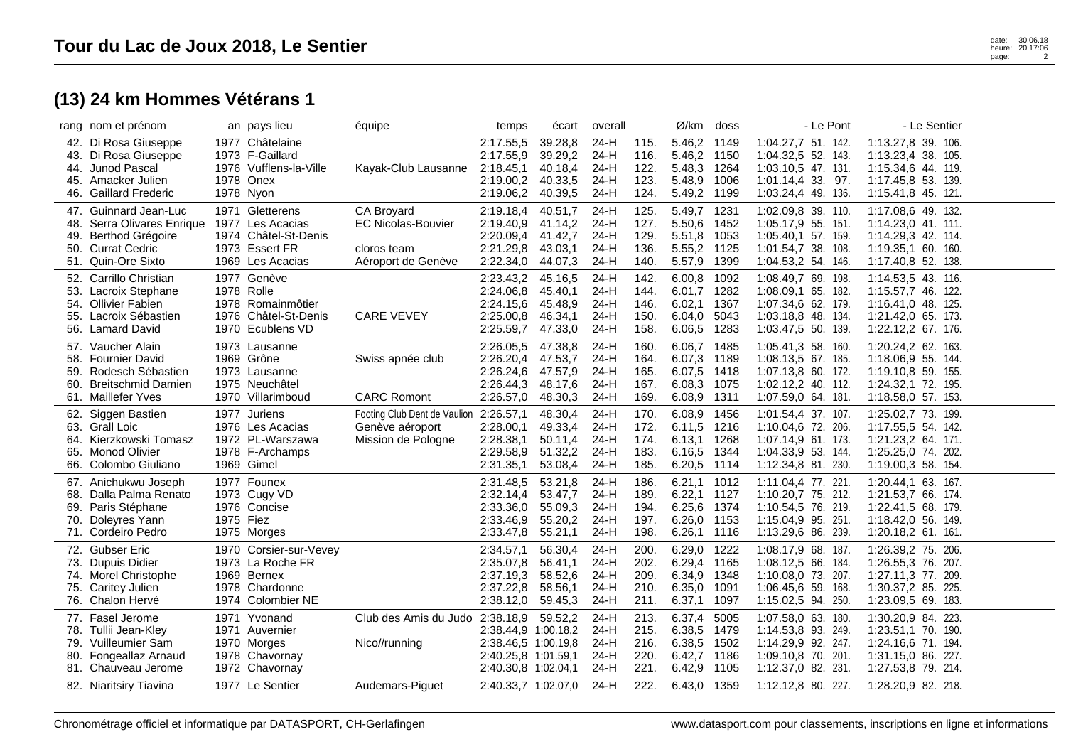## **(13) 24 km Hommes Vétérans 1**

|                          | rang nom et prénom                                                                                                    |           | an pays lieu                                                                                      | équipe                                                                       | temps                                                                                                 | écart                                               | overal                                       |                                      | Ø/km                                                                | doss                         | - Le Pont                                                                                                  | - Le Sentier                                                                                               |  |
|--------------------------|-----------------------------------------------------------------------------------------------------------------------|-----------|---------------------------------------------------------------------------------------------------|------------------------------------------------------------------------------|-------------------------------------------------------------------------------------------------------|-----------------------------------------------------|----------------------------------------------|--------------------------------------|---------------------------------------------------------------------|------------------------------|------------------------------------------------------------------------------------------------------------|------------------------------------------------------------------------------------------------------------|--|
| 46.                      | 42. Di Rosa Giuseppe<br>43. Di Rosa Giuseppe<br>44. Junod Pascal<br>45. Amacker Julien<br><b>Gaillard Frederic</b>    |           | 1977 Châtelaine<br>1973 F-Gaillard<br>1976 Vufflens-la-Ville<br>1978 Onex<br>1978 Nyon            | Kayak-Club Lausanne                                                          | 2:17.55,5<br>2:17.55,9<br>2:18.45,1<br>2:19.00,2<br>2:19.06,2                                         | 39.28,8<br>39.29,2<br>40.18,4<br>40.33,5<br>40.39,5 | 24-H<br>$24-H$<br>24-H<br>24-H<br>24-H       | 115.<br>116.<br>122.<br>123.<br>124. | 5.46,2 1149<br>5.46,2 1150<br>5.48,3 1264<br>5.48,9 1006<br>5.49,2  | 1199                         | 1:04.27,7 51. 142.<br>1:04.32,5 52. 143.<br>1:03.10,5 47. 131.<br>1:01.14,4 33. 97.<br>1:03.24,4 49. 136.  | 1:13.27,8 39. 106.<br>1:13.23,4 38. 105.<br>1:15.34,6 44. 119.<br>1:17.45,8 53. 139.<br>1:15.41,8 45. 121. |  |
| 48.<br>49.               | 47. Guinnard Jean-Luc<br>Serra Olivares Enrique<br>Berthod Grégoire<br>50. Currat Cedric<br>51. Quin-Ore Sixto        |           | 1971 Gletterens<br>1977 Les Acacias<br>1974 Châtel-St-Denis<br>1973 Essert FR<br>1969 Les Acacias | CA Broyard<br><b>EC Nicolas-Bouvier</b><br>cloros team<br>Aéroport de Genève | 2:19.18,4<br>2:19.40,9<br>2:20.09,4<br>2:21.29,8<br>2:22.34,0                                         | 40.51,7<br>41.14,2<br>41.42,7<br>43.03,1<br>44.07,3 | $24-H$<br>24-H<br>24-H<br>$24-H$<br>$24-H$   | 125.<br>127.<br>129.<br>136.<br>140. | 5.49,7 1231<br>5.50,6 1452<br>5.51,8 1053<br>5.55,2 1125<br>5.57,9  | 1399                         | 1:02.09,8 39. 110.<br>1:05.17,9 55. 151.<br>1:05.40,1 57. 159.<br>1:01.54,7 38. 108.<br>1:04.53,2 54. 146. | 1:17.08,6 49. 132.<br>1:14.23,0 41. 111.<br>1:14.29,3 42. 114.<br>1:19.35,1 60. 160.<br>1:17.40,8 52. 138. |  |
| 52.<br>54.<br>55.        | Carrillo Christian<br>53. Lacroix Stephane<br><b>Ollivier Fabien</b><br>Lacroix Sébastien<br>56. Lamard David         |           | 1977 Genève<br>1978 Rolle<br>1978 Romainmôtier<br>1976 Châtel-St-Denis<br>1970 Ecublens VD        | <b>CARE VEVEY</b>                                                            | 2:23.43,2<br>2:24.06,8<br>2:24.15,6<br>2:25.00,8<br>2:25.59,7                                         | 45.16.5<br>45.40,1<br>45.48,9<br>46.34,1<br>47.33,0 | $24-H$<br>$24-H$<br>24-H<br>$24-H$<br>$24-H$ | 142.<br>144.<br>146.<br>150.<br>158. | 6.00.8<br>6.01,7 1282<br>6.02,1<br>6.04,0<br>6.06,5                 | 1092<br>1367<br>5043<br>1283 | 1:08.49,7 69. 198.<br>1:08.09,1 65. 182.<br>1:07.34,6 62. 179.<br>1:03.18,8 48. 134.<br>1:03.47,5 50. 139. | 1:14.53,5 43. 116.<br>1:15.57,7 46. 122.<br>1:16.41.0 48. 125.<br>1:21.42,0 65. 173.<br>1:22.12,2 67. 176. |  |
| 58.<br>59.<br>60.<br>61. | 57. Vaucher Alain<br><b>Fournier David</b><br>Rodesch Sébastien<br><b>Breitschmid Damien</b><br><b>Maillefer Yves</b> |           | 1973 Lausanne<br>1969 Grône<br>1973 Lausanne<br>1975 Neuchâtel<br>1970 Villarimboud               | Swiss apnée club<br><b>CARC Romont</b>                                       | 2:26.05,5<br>2:26.20,4<br>2:26.24,6<br>2:26.44,3<br>2:26.57,0                                         | 47.38,8<br>47.53,7<br>47.57,9<br>48.17,6<br>48.30,3 | 24-H<br>$24-H$<br>24-H<br>$24-H$<br>$24-H$   | 160.<br>164.<br>165.<br>167.<br>169. | 6.06,7<br>6.07,3 1189<br>6.07,5<br>6.08,3 1075<br>6.08,9 1311       | 1485<br>1418                 | 1:05.41,3 58. 160.<br>1:08.13,5 67. 185.<br>1:07.13,8 60. 172.<br>1:02.12,2 40. 112.<br>1:07.59,0 64. 181. | 1:20.24,2 62. 163.<br>1:18.06,9 55. 144.<br>1:19.10.8 59. 155.<br>1:24.32,1 72. 195.<br>1:18.58,0 57. 153. |  |
| 63.<br>65.<br>66.        | 62. Siggen Bastien<br>Grall Loic<br>64. Kierzkowski Tomasz<br><b>Monod Olivier</b><br>Colombo Giuliano                |           | 1977 Juriens<br>1976 Les Acacias<br>1972 PL-Warszawa<br>1978 F-Archamps<br>1969 Gimel             | Footing Club Dent de Vaulion<br>Genève aéroport<br>Mission de Pologne        | 2:26.57,1<br>2:28.00,1<br>2:28.38,1<br>2:29.58,9<br>2:31.35,1                                         | 48.30,4<br>49.33,4<br>50.11,4<br>51.32,2<br>53.08,4 | 24-H<br>24-H<br>24-H<br>$24-H$<br>$24-H$     | 170.<br>172.<br>174.<br>183.<br>185. | 6.08,9 1456<br>6.11,5 1216<br>6.13,1 1268<br>6.16,5 1344<br>6.20,5  | 1114                         | 1:01.54,4 37. 107.<br>1:10.04,6 72. 206.<br>1:07.14,9 61. 173.<br>1:04.33,9 53. 144.<br>1:12.34,8 81. 230. | 1:25.02,7 73. 199.<br>1:17.55,5 54. 142.<br>1:21.23,2 64. 171.<br>1:25.25,0 74. 202.<br>1:19.00,3 58. 154. |  |
| 68.<br>69.<br>70.<br>71. | 67. Anichukwu Joseph<br>Dalla Palma Renato<br>Paris Stéphane<br>Doleyres Yann<br>Cordeiro Pedro                       | 1975 Fiez | 1977 Founex<br>1973 Cugy VD<br>1976 Concise<br>1975 Morges                                        |                                                                              | 2:31.48,5<br>2:32.14,4<br>2:33.36,0<br>2:33.46,9<br>2:33.47,8                                         | 53.21,8<br>53.47,7<br>55.09,3<br>55.20,2<br>55.21,1 | $24-H$<br>24-H<br>24-H<br>$24-H$<br>$24-H$   | 186.<br>189.<br>194.<br>197.<br>198. | 6.21,1 1012<br>6.22,1 1127<br>6.25, 6<br>6.26,0 1153<br>6.26,1 1116 | 1374                         | 1:11.04,4 77. 221.<br>1:10.20,7 75. 212.<br>1:10.54,5 76. 219.<br>1:15.04.9 95. 251.<br>1:13.29,6 86. 239. | 1:20.44,1 63. 167.<br>1:21.53,7 66. 174.<br>1:22.41,5 68. 179.<br>1:18.42,0 56. 149.<br>1:20.18,2 61. 161. |  |
| 73.                      | 72. Gubser Eric<br>Dupuis Didier<br>74. Morel Christophe<br>75. Caritey Julien<br>76. Chalon Hervé                    |           | 1970 Corsier-sur-Vevey<br>1973 La Roche FR<br>1969 Bernex<br>1978 Chardonne<br>1974 Colombier NE  |                                                                              | 2:34.57,1<br>2:35.07.8<br>2:37.19,3<br>2:37.22,8<br>2:38.12,0                                         | 56.30,4<br>56.41,1<br>58.52,6<br>58.56,1<br>59.45,3 | 24-H<br>$24-H$<br>$24-H$<br>24-H<br>24-H     | 200.<br>202.<br>209.<br>210.<br>211. | 6.29,0<br>6.29,4 1165<br>6.34,9 1348<br>6.35,0<br>6.37,1            | 1222<br>1091<br>1097         | 1:08.17,9 68. 187.<br>1:08.12.5 66. 184.<br>1:10.08,0 73. 207.<br>1:06.45,6 59. 168.<br>1:15.02,5 94. 250. | 1:26.39,2 75. 206.<br>1:26.55,3 76. 207.<br>1:27.11,3 77. 209.<br>1:30.37,2 85. 225.<br>1:23.09,5 69. 183. |  |
| 79.                      | 77. Fasel Jerome<br>78. Tullii Jean-Kley<br>Vuilleumier Sam<br>80. Fongeallaz Arnaud<br>81. Chauveau Jerome           |           | 1971 Yvonand<br>1971 Auvernier<br>1970 Morges<br>1978 Chavornay<br>1972 Chavornay                 | Club des Amis du Judo<br>Nico//running                                       | 2:38.18,9<br>2:38.44,9 1:00.18,2<br>2:38.46,5 1:00.19,8<br>2:40.25,8 1:01.59,1<br>2:40.30,8 1:02.04,1 | 59.52,2                                             | 24-H<br>$24-H$<br>$24-H$<br>$24-H$<br>$24-H$ | 213.<br>215.<br>216.<br>220.<br>221. | 6.37,4<br>6.38,5 1479<br>6.38,5 1502<br>6.42,7 1186<br>6.42,9 1105  | 5005                         | 1:07.58,0 63. 180.<br>1:14.53,8 93. 249.<br>1:14.29,9 92. 247.<br>1:09.10,8 70. 201.<br>1:12.37,0 82. 231. | 1:30.20,9 84. 223.<br>1:23.51,1 70. 190.<br>1:24.16.6 71. 194.<br>1:31.15,0 86. 227.<br>1:27.53,8 79. 214. |  |
|                          | 82. Niaritsiry Tiavina                                                                                                |           | 1977 Le Sentier                                                                                   | Audemars-Piguet                                                              | 2:40.33,7 1:02.07,0                                                                                   |                                                     | 24-H                                         | 222.                                 | 6.43,0 1359                                                         |                              | 1:12.12,8 80. 227.                                                                                         | 1:28.20,9 82. 218.                                                                                         |  |